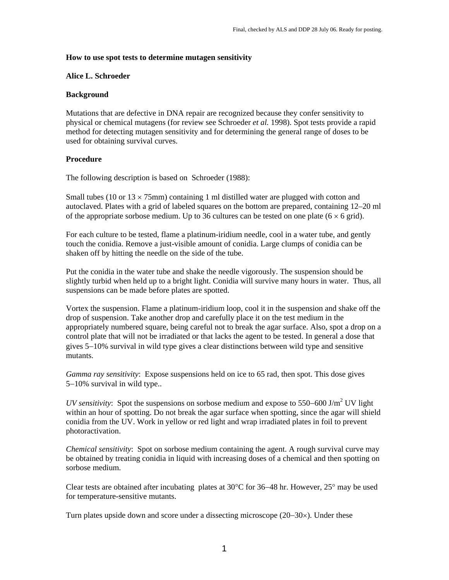## **How to use spot tests to determine mutagen sensitivity**

#### **Alice L. Schroeder**

## **Background**

Mutations that are defective in DNA repair are recognized because they confer sensitivity to physical or chemical mutagens (for review see Schroeder *et al.* 1998). Spot tests provide a rapid method for detecting mutagen sensitivity and for determining the general range of doses to be used for obtaining survival curves.

# **Procedure**

The following description is based on Schroeder (1988):

Small tubes (10 or  $13 \times 75$ mm) containing 1 ml distilled water are plugged with cotton and autoclaved. Plates with a grid of labeled squares on the bottom are prepared, containing 12–20 ml of the appropriate sorbose medium. Up to 36 cultures can be tested on one plate ( $6 \times 6$  grid).

For each culture to be tested, flame a platinum-iridium needle, cool in a water tube, and gently touch the conidia. Remove a just-visible amount of conidia. Large clumps of conidia can be shaken off by hitting the needle on the side of the tube.

Put the conidia in the water tube and shake the needle vigorously. The suspension should be slightly turbid when held up to a bright light. Conidia will survive many hours in water. Thus, all suspensions can be made before plates are spotted.

Vortex the suspension. Flame a platinum-iridium loop, cool it in the suspension and shake off the drop of suspension. Take another drop and carefully place it on the test medium in the appropriately numbered square, being careful not to break the agar surface. Also, spot a drop on a control plate that will not be irradiated or that lacks the agent to be tested. In general a dose that gives 5−10% survival in wild type gives a clear distinctions between wild type and sensitive mutants.

*Gamma ray sensitivity*: Expose suspensions held on ice to 65 rad, then spot. This dose gives 5−10% survival in wild type..

*UV sensitivity*: Spot the suspensions on sorbose medium and expose to 550–600 J/m<sup>2</sup> UV light within an hour of spotting. Do not break the agar surface when spotting, since the agar will shield conidia from the UV. Work in yellow or red light and wrap irradiated plates in foil to prevent photoractivation.

*Chemical sensitivity*: Spot on sorbose medium containing the agent. A rough survival curve may be obtained by treating conidia in liquid with increasing doses of a chemical and then spotting on sorbose medium.

Clear tests are obtained after incubating plates at 30°C for 36−48 hr. However, 25° may be used for temperature-sensitive mutants.

Turn plates upside down and score under a dissecting microscope (20−30×). Under these